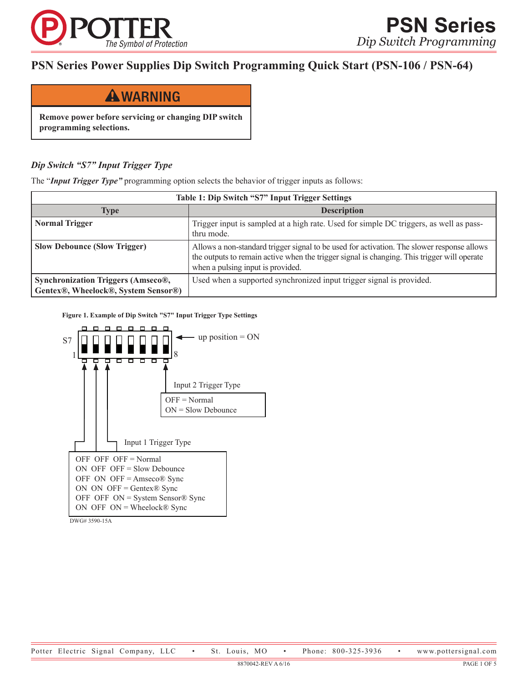

# **PSN Series Power Supplies Dip Switch Programming Quick Start (PSN-106 / PSN-64)**



**Remove power before servicing or changing DIP switch programming selections.**

# *Dip Switch "S7" Input Trigger Type*

The "*Input Trigger Type"* programming option selects the behavior of trigger inputs as follows:

| Table 1: Dip Switch "S7" Input Trigger Settings                                  |                                                                                                                                                                                                                                |  |
|----------------------------------------------------------------------------------|--------------------------------------------------------------------------------------------------------------------------------------------------------------------------------------------------------------------------------|--|
| Type                                                                             | <b>Description</b>                                                                                                                                                                                                             |  |
| <b>Normal Trigger</b>                                                            | Trigger input is sampled at a high rate. Used for simple DC triggers, as well as pass-<br>thru mode.                                                                                                                           |  |
| <b>Slow Debounce (Slow Trigger)</b>                                              | Allows a non-standard trigger signal to be used for activation. The slower response allows<br>the outputs to remain active when the trigger signal is changing. This trigger will operate<br>when a pulsing input is provided. |  |
| <b>Synchronization Triggers (Amseco®,</b><br>Gentex®, Wheelock®, System Sensor®) | Used when a supported synchronized input trigger signal is provided.                                                                                                                                                           |  |

**Figure 1. Example of Dip Switch "S7" Input Trigger Type Settings**



DWG# 3590-15A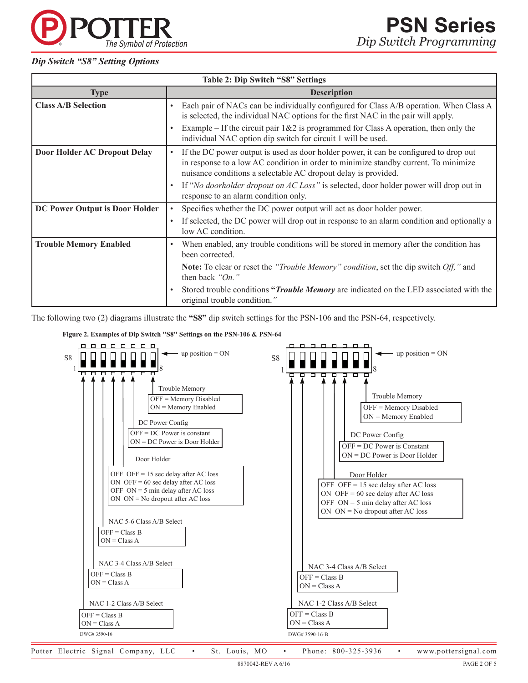#### *Dip Switch "S8" Setting Options*

The Symbol of Protection

| <b>Table 2: Dip Switch "S8" Settings</b> |                                                                                                                                                                                                                                                                                                  |  |
|------------------------------------------|--------------------------------------------------------------------------------------------------------------------------------------------------------------------------------------------------------------------------------------------------------------------------------------------------|--|
| <b>Type</b>                              | <b>Description</b>                                                                                                                                                                                                                                                                               |  |
| <b>Class A/B Selection</b>               | Each pair of NACs can be individually configured for Class A/B operation. When Class A<br>$\bullet$<br>is selected, the individual NAC options for the first NAC in the pair will apply.<br>Example – If the circuit pair $1\&2$ is programmed for Class A operation, then only the<br>$\bullet$ |  |
|                                          | individual NAC option dip switch for circuit 1 will be used.                                                                                                                                                                                                                                     |  |
| Door Holder AC Dropout Delay             | If the DC power output is used as door holder power, it can be configured to drop out<br>$\bullet$<br>in response to a low AC condition in order to minimize standby current. To minimize<br>nuisance conditions a selectable AC dropout delay is provided.                                      |  |
|                                          | If "No doorholder dropout on AC Loss" is selected, door holder power will drop out in<br>$\bullet$<br>response to an alarm condition only.                                                                                                                                                       |  |
| DC Power Output is Door Holder           | Specifies whether the DC power output will act as door holder power.<br>$\bullet$                                                                                                                                                                                                                |  |
|                                          | If selected, the DC power will drop out in response to an alarm condition and optionally a<br>$\bullet$<br>low AC condition.                                                                                                                                                                     |  |
| <b>Trouble Memory Enabled</b>            | When enabled, any trouble conditions will be stored in memory after the condition has<br>$\bullet$<br>been corrected.                                                                                                                                                                            |  |
|                                          | <b>Note:</b> To clear or reset the " <i>Trouble Memory</i> " <i>condition</i> , set the dip switch <i>Off</i> ," and<br>then back " $On$ ."                                                                                                                                                      |  |
|                                          | Stored trouble conditions " <i>Trouble Memory</i> are indicated on the LED associated with the<br>original trouble condition."                                                                                                                                                                   |  |

The following two (2) diagrams illustrate the **"S8"** dip switch settings for the PSN-106 and the PSN-64, respectively.

#### **Figure 2. Examples of Dip Switch "S8" Settings on the PSN-106 & PSN-64**



Potter Electric Signal Company, LLC • St. Louis, MO • Phone: 800-325-3936 • www.pottersignal.com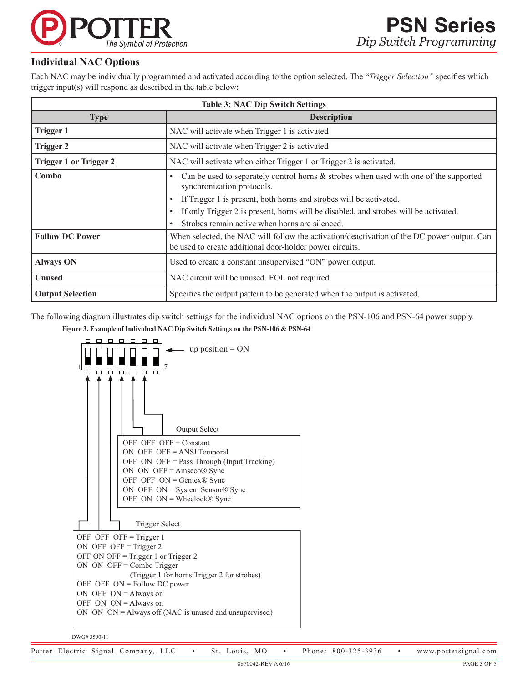

# **Individual NAC Options**

Each NAC may be individually programmed and activated according to the option selected. The "*Trigger Selection"* specifies which trigger input(s) will respond as described in the table below:

| <b>Table 3: NAC Dip Switch Settings</b> |                                                                                                                                                                                                                                                                                                                                                            |  |
|-----------------------------------------|------------------------------------------------------------------------------------------------------------------------------------------------------------------------------------------------------------------------------------------------------------------------------------------------------------------------------------------------------------|--|
| <b>Type</b>                             | <b>Description</b>                                                                                                                                                                                                                                                                                                                                         |  |
| <b>Trigger 1</b>                        | NAC will activate when Trigger 1 is activated                                                                                                                                                                                                                                                                                                              |  |
| <b>Trigger 2</b>                        | NAC will activate when Trigger 2 is activated                                                                                                                                                                                                                                                                                                              |  |
| <b>Trigger 1 or Trigger 2</b>           | NAC will activate when either Trigger 1 or Trigger 2 is activated.                                                                                                                                                                                                                                                                                         |  |
| Combo                                   | Can be used to separately control horns & strobes when used with one of the supported<br>٠<br>synchronization protocols.<br>If Trigger 1 is present, both horns and strobes will be activated.<br>٠<br>If only Trigger 2 is present, horns will be disabled, and strobes will be activated.<br>$\bullet$<br>Strobes remain active when horns are silenced. |  |
| <b>Follow DC Power</b>                  | When selected, the NAC will follow the activation/deactivation of the DC power output. Can<br>be used to create additional door-holder power circuits.                                                                                                                                                                                                     |  |
| <b>Always ON</b>                        | Used to create a constant unsupervised "ON" power output.                                                                                                                                                                                                                                                                                                  |  |
| <b>Unused</b>                           | NAC circuit will be unused. EOL not required.                                                                                                                                                                                                                                                                                                              |  |
| <b>Output Selection</b>                 | Specifies the output pattern to be generated when the output is activated.                                                                                                                                                                                                                                                                                 |  |

The following diagram illustrates dip switch settings for the individual NAC options on the PSN-106 and PSN-64 power supply.

#### **Figure 3. Example of Individual NAC Dip Switch Settings on the PSN-106 & PSN-64**



DWG# 3590-11

Potter Electric Signal Company, LLC • St. Louis, MO • Phone: 800-325-3936 • www.pottersignal.com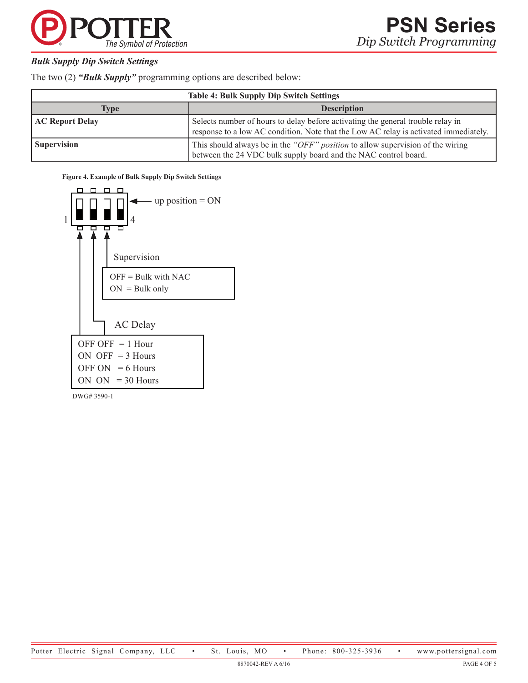

# *Bulk Supply Dip Switch Settings*

The two (2) *"Bulk Supply"* programming options are described below:

| <b>Table 4: Bulk Supply Dip Switch Settings</b> |                                                                                                                                                                         |  |
|-------------------------------------------------|-------------------------------------------------------------------------------------------------------------------------------------------------------------------------|--|
| <b>Type</b>                                     | <b>Description</b>                                                                                                                                                      |  |
| <b>AC Report Delay</b>                          | Selects number of hours to delay before activating the general trouble relay in<br>response to a low AC condition. Note that the Low AC relay is activated immediately. |  |
| <b>Supervision</b>                              | This should always be in the "OFF" position to allow supervision of the wiring<br>between the 24 VDC bulk supply board and the NAC control board.                       |  |

**Figure 4. Example of Bulk Supply Dip Switch Settings**



DWG# 3590-1